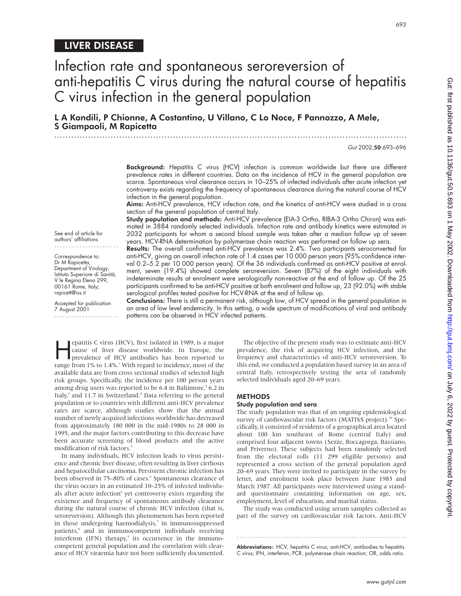## LIVER DISEASE

# Infection rate and spontaneous seroreversion of anti-hepatitis C virus during the natural course of hepatitis C virus infection in the general population

L A Kondili, P Chionne, A Costantino, U Villano, C Lo Noce, F Pannozzo, A Mele, S Giampaoli, M Rapicetta

.............................................................................................................................

Gut 2002;50:693–696

Background: Hepatitis C virus (HCV) infection is common worldwide but there are different prevalence rates in different countries. Data on the incidence of HCV in the general population are scarce. Spontaneous viral clearance occurs in 10–25% of infected individuals after acute infection yet controversy exists regarding the frequency of spontaneous clearance during the natural course of HCV infection in the general population.

Aims: Anti-HCV prevalence, HCV infection rate, and the kinetics of anti-HCV were studied in a cross section of the general population of central Italy.

Study population and methods: Anti-HCV prevalence (EIA-3 Ortho, RIBA-3 Ortho Chiron) was estimated in 3884 randomly selected individuals. Infection rate and antibody kinetics were estimated in 2032 participants for whom a second blood sample was taken after a median follow up of seven years. HCV-RNA determination by polymerase chain reaction was performed on follow up sera.

See end of article for authors' affiliations .......................

Correspondence to: Dr M Rapicetta, Department of Virology, Istituto Superiore di Sanità, V le Regina Elena 299, 00161 Rome, Italy; rapicett@iss.it

Accepted for publication 7 August 2001 .......................

Results: The overall confirmed anti-HCV prevalence was 2.4%. Two participants seroconverted for anti-HCV, giving an overall infection rate of 1.4 cases per 10 000 person years (95% confidence interval 0.2–5.2 per 10 000 person years). Of the 36 individuals confirmed as anti-HCV positive at enrolment, seven (19.4%) showed complete seroreversion. Seven (87%) of the eight individuals with indeterminate results at enrolment were serologically non-reactive at the end of follow up. Of the 25 participants confirmed to be anti-HCV positive at both enrolment and follow up, 23 (92.0%) with stable serological profiles tested positive for HCV-RNA at the end of follow up.

Conclusions: There is still a permanent risk, although low, of HCV spread in the general population in an area of low level endemicity. In this setting, a wide spectrum of modifications of viral and antibody patterns can be observed in HCV infected patients.

**Example 18** equatitis C virus (HCV), first isolated in 1989, is a major cause of liver disease worldwide. In Europe, the prevalence of HCV antibodies has been reported to represent the priori  $10^{\circ}$  to  $1.40^{\circ}$  i Wit cause of liver disease worldwide. In Europe, the prevalence of HCV antibodies has been reported to range from  $1\%$  to  $1.4\%$ .<sup>1</sup> With regard to incidence, most of the available data are from cross sectional studies of selected high risk groups. Specifically, the incidence per 100 person years among drug users was reported to be 6.4 in Baltimore,<sup>2</sup> 6.2 in Italy, $3$  and 11.7 in Switzerland. $4$  Data referring to the general population or to countries with different anti-HCV prevalence rates are scarce, although studies show that the annual number of newly acquired infections worldwide has decreased from approximately 180 000 in the mid-1980s to 28 000 in 1995, and the major factors contributing to this decrease have been accurate screening of blood products and the active modification of risk factors.<sup>5</sup>

In many individuals, HCV infection leads to virus persistence and chronic liver disease, often resulting in liver cirrhosis and hepatocellular carcinoma. Persistent chronic infection has been observed in 75–80% of cases.<sup>6</sup> Spontaneous clearance of the virus occurs in an estimated 10–25% of infected individuals after acute infection<sup>6</sup> yet controversy exists regarding the existence and frequency of spontaneous antibody clearance during the natural course of chronic HCV infection (that is, seroreversion). Although this phenomenon has been reported in those undergoing haemodialysis,<sup>7</sup> in immunosuppressed patients,<sup>8</sup> and in immunocompetent individuals receiving interferon (IFN) therapy,<sup>9</sup> its occurrence in the immunocompetent general population and the correlation with clearance of HCV viraemia have not been sufficiently documented.

The objective of the present study was to estimate anti-HCV prevalence, the risk of acquiring HCV infection, and the frequency and characteristics of anti-HCV seroreversion. To this end, we conducted a population based survey in an area of central Italy, retrospectively testing the sera of randomly selected individuals aged 20–69 years.

#### **METHODS**

#### Study population and sera

The study population was that of an ongoing epidemiological survey of cardiovascular risk factors (MATISS project).<sup>10</sup> Specifically, it consisted of residents of a geographical area located about 100 km southeast of Rome (central Italy) and comprised four adjacent towns (Sezze, Roccagorga, Bassiano, and Priverno). These subjects had been randomly selected from the electoral rolls (11 299 eligible persons) and represented a cross section of the general population aged 20–69 years. They were invited to participate in the survey by letter, and enrolment took place between June 1983 and March 1987. All participants were interviewed using a standard questionnaire containing information on age, sex, employment, level of education, and marital status.

The study was conducted using serum samples collected as part of the survey on cardiovascular risk factors. Anti-HCV

Abbreviations: HCV, hepatitis C virus; anti-HCV, antibodies to hepatitis C virus; IFN, interferon; PCR, polymerase chain reaction; OR, odds ratio.

.............................................................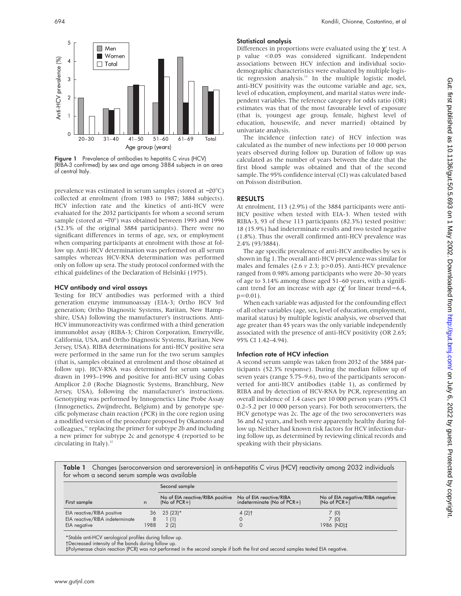

Figure 1 Prevalence of antibodies to hepatitis C virus (HCV) (RIBA-3 confirmed) by sex and age among 3884 subjects in an area of central Italy.

prevalence was estimated in serum samples (stored at −20°C) collected at enrolment (from 1983 to 1987; 3884 subjects). HCV infection rate and the kinetics of anti-HCV were evaluated for the 2032 participants for whom a second serum sample (stored at −70°) was obtained between 1993 and 1996 (52.3% of the original 3884 participants). There were no significant differences in terms of age, sex, or employment when comparing participants at enrolment with those at follow up. Anti-HCV determination was performed on all serum samples whereas HCV-RNA determination was performed only on follow up sera. The study protocol conformed with the ethical guidelines of the Declaration of Helsinki (1975).

#### HCV antibody and viral assays

Testing for HCV antibodies was performed with a third generation enzyme immunoassay (EIA-3; Ortho HCV 3rd generation; Ortho Diagnostic Systems, Raritan, New Hampshire, USA) following the manufacturer's instructions. Anti-HCV immunoreactivity was confirmed with a third generation immunoblot assay (RIBA-3; Chiron Corporation, Emeryville, California, USA, and Ortho Diagnostic Systems, Raritan, New Jersey, USA). RIBA determinations for anti-HCV positive sera were performed in the same run for the two serum samples (that is, samples obtained at enrolment and those obtained at follow up). HCV-RNA was determined for serum samples drawn in 1993–1996 and positive for anti-HCV using Cobas Amplicor 2.0 (Roche Diagnostic Systems, Branchburg, New Jersey, USA), following the manufacturer's instructions. Genotyping was performed by Innogenetics Line Probe Assay (Innogenetics, Zwijndrecht, Belgium) and by genotype specific polymerase chain reaction (PCR) in the core region using a modified version of the procedure proposed by Okamoto and colleagues,<sup>11</sup> replacing the primer for subtype 2b and including a new primer for subtype 2c and genotype 4 (reported to be circulating in Italy).<sup>12</sup>

## Statistical analysis

Differences in proportions were evaluated using the  $\chi^2$  test. A p value <0.05 was considered significant. Independent associations between HCV infection and individual sociodemographic characteristics were evaluated by multiple logistic regression analysis.13 In the multiple logistic model, anti-HCV positivity was the outcome variable and age, sex, level of education, employment, and marital status were independent variables. The reference category for odds ratio (OR) estimates was that of the most favourable level of exposure (that is, youngest age group, female, highest level of education, housewife, and never married) obtained by univariate analysis.

The incidence (infection rate) of HCV infection was calculated as the number of new infections per 10 000 person years observed during follow up. Duration of follow up was calculated as the number of years between the date that the first blood sample was obtained and that of the second sample. The 95% confidence interval (CI) was calculated based on Poisson distribution.

## RESULTS

At enrolment, 113 (2.9%) of the 3884 participants were anti-HCV positive when tested with EIA-3. When tested with RIBA-3, 93 of these 113 participants (82.3%) tested positive: 18 (15.9%) had indeterminate results and two tested negative (1.8%). Thus the overall confirmed anti-HCV prevalence was 2.4% (93/3884).

The age specific prevalence of anti-HCV antibodies by sex is shown in fig 1. The overall anti-HCV prevalence was similar for males and females (2.6 *v* 2.3; p>0.05). Anti-HCV prevalence ranged from 0.98% among participants who were 20–30 years of age to 3.14% among those aged 51–60 years, with a significant trend for an increase with age ( $\chi^2$  for linear trend=6.4,  $p=0.01$ ).

When each variable was adjusted for the confounding effect of all other variables (age, sex, level of education, employment, marital status) by multiple logistic analysis, we observed that age greater than 45 years was the only variable independently associated with the presence of anti-HCV positivity (OR 2.65; 95% CI 1.42–4.94).

## Infection rate of HCV infection

A second serum sample was taken from 2032 of the 3884 participants (52.3% response). During the median follow up of seven years (range 5.75–9.6), two of the participants seroconverted for anti-HCV antibodies (table 1), as confirmed by RIBA and by detection of HCV-RNA by PCR, representing an overall incidence of 1.4 cases per 10 000 person years (95% CI 0.2–5.2 per 10 000 person years). For both seroconverters, the HCV genotype was 2c. The age of the two seroconverters was 36 and 62 years, and both were apparently healthy during follow up. Neither had known risk factors for HCV infection during follow up, as determined by reviewing clinical records and speaking with their physicians.

Table 1 Changes (seroconversion and seroreversion) in anti-hepatitis C virus (HCV) reactivity among 2032 individuals for whom a second serum sample was available

|                                 |      | Second sample                                      |                                                       |                                                    |
|---------------------------------|------|----------------------------------------------------|-------------------------------------------------------|----------------------------------------------------|
| First sample                    | n    | No of EIA reactive/RIBA positive<br>$(No of PCR+)$ | No of EIA reactive/RIBA<br>indeterminate (No of PCR+) | No of EIA negative/RIBA negative<br>$(No of PCR+)$ |
| EIA reactive/RIBA positive      |      | $36$ 25 (23) <sup>*</sup>                          | $4(2)$ <sup>†</sup>                                   | 7 (0)                                              |
| EIA reactive/RIBA indeterminate | 8    | l (1)                                              |                                                       | 7 (0)                                              |
| EIA negative                    | 1988 | 2(2)                                               |                                                       | 1986 (ND) ‡                                        |

\*Stable anti-HCV serological profiles during follow up. †Decreased intensity of the bands during follow up.

‡Polymerase chain reaction (PCR) was not performed in the second sample if both the first and second samples tested EIA negative.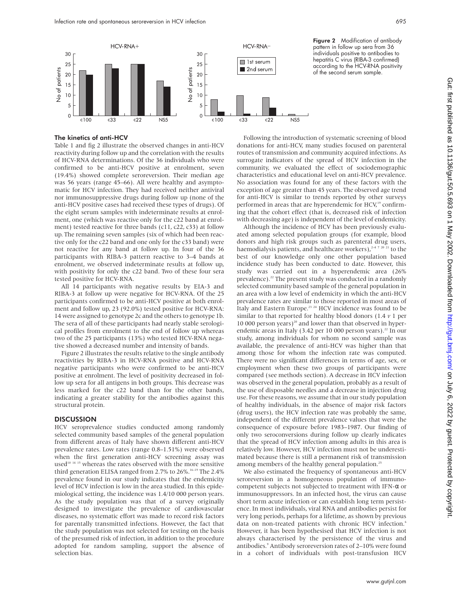

The kinetics of anti-HCV

Table 1 and fig 2 illustrate the observed changes in anti-HCV reactivity during follow up and the correlation with the results of HCV-RNA determinations. Of the 36 individuals who were confirmed to be anti-HCV positive at enrolment, seven (19.4%) showed complete seroreversion. Their median age was 56 years (range 45–66). All were healthy and asymptomatic for HCV infection. They had received neither antiviral nor immunosuppressive drugs during follow up (none of the anti-HCV positive cases had received these types of drugs). Of the eight serum samples with indeterminate results at enrolment, one (which was reactive only for the c22 band at enrolment) tested reactive for three bands (c11, c22, c33) at follow up. The remaining seven samples (six of which had been reactive only for the c22 band and one only for the c33 band) were not reactive for any band at follow up. In four of the 36 participants with RIBA-3 pattern reactive to 3–4 bands at enrolment, we observed indeterminate results at follow up, with positivity for only the c22 band. Two of these four sera tested positive for HCV-RNA.

All 14 participants with negative results by EIA-3 and RIBA-3 at follow up were negative for HCV-RNA. Of the 25 participants confirmed to be anti-HCV positive at both enrolment and follow up, 23 (92.0%) tested positive for HCV-RNA: 14 were assigned to genotype 2c and the others to genotype 1b. The sera of all of these participants had nearly stable serological profiles from enrolment to the end of follow up whereas two of the 25 participants (13%) who tested HCV-RNA negative showed a decreased number and intensity of bands.

Figure 2 illustrates the results relative to the single antibody reactivities by RIBA-3 in HCV-RNA positive and HCV-RNA negative participants who were confirmed to be anti-HCV positive at enrolment. The level of positivity decreased in follow up sera for all antigens in both groups. This decrease was less marked for the c22 band than for the other bands, indicating a greater stability for the antibodies against this structural protein.

## **DISCUSSION**

HCV seroprevalence studies conducted among randomly selected community based samples of the general population from different areas of Italy have shown different anti-HCV prevalence rates. Low rates (range 0.8–1.51%) were observed when the first generation anti-HCV screening assay was used<sup>10 14 15</sup> whereas the rates observed with the more sensitive third generation ELISA ranged from 2.7% to 26%.<sup>16–19</sup> The 2.4% prevalence found in our study indicates that the endemicity level of HCV infection is low in the area studied. In this epidemiological setting, the incidence was 1.4/10 000 person years. As the study population was that of a survey originally designed to investigate the prevalence of cardiovascular diseases, no systematic effort was made to record risk factors for parentally transmitted infections. However, the fact that the study population was not selected for testing on the basis of the presumed risk of infection, in addition to the procedure adopted for random sampling, support the absence of selection bias.

Figure 2 Modification of antibody pattern in follow up sera from 36 individuals positive to antibodies to hepatitis C virus (RIBA-3 confirmed) according to the HCV-RNA positivity of the second serum sample.

Following the introduction of systematic screening of blood donations for anti-HCV, many studies focused on parenteral routes of transmission and community acquired infections. As surrogate indicators of the spread of HCV infection in the community, we evaluated the effect of sociodemographic characteristics and educational level on anti-HCV prevalence. No association was found for any of these factors with the exception of age greater than 45 years. The observed age trend for anti-HCV is similar to trends reported by other surveys performed in areas that are hyperendemic for HCV,<sup>19</sup> confirming that the cohort effect (that is, decreased risk of infection with decreasing age) is independent of the level of endemicity.

Although the incidence of HCV has been previously evaluated among selected population groups (for example, blood donors and high risk groups such as parenteral drug users, haemodialysis patients, and healthcare workers),  $2472021$  to the best of our knowledge only one other population based incidence study has been conducted to date. However, this study was carried out in a hyperendemic area (26% prevalence).<sup>22</sup> The present study was conducted in a randomly selected community based sample of the general population in an area with a low level of endemicity in which the anti-HCV prevalence rates are similar to those reported in most areas of Italy and Eastern Europe.<sup>23</sup> <sup>24</sup> HCV incidence was found to be similar to that reported for healthy blood donors (1.4 *v* 1 per 10 000 person years)<sup>20</sup> and lower than that observed in hyperendemic areas in Italy (3.42 per 10 000 person years). $22$  In our study, among individuals for whom no second sample was available, the prevalence of anti-HCV was higher than that among those for whom the infection rate was computed. There were no significant differences in terms of age, sex, or employment when these two groups of participants were compared (see methods section). A decrease in HCV infection was observed in the general population, probably as a result of the use of disposable needles and a decrease in injection drug use. For these reasons, we assume that in our study population of healthy individuals, in the absence of major risk factors (drug users), the HCV infection rate was probably the same, independent of the different prevalence values that were the consequence of exposure before 1983–1987. Our finding of only two seroconversions during follow up clearly indicates that the spread of HCV infection among adults in this area is relatively low. However, HCV infection must not be underestimated because there is still a permanent risk of transmission among members of the healthy general population.<sup>25</sup>

We also estimated the frequency of spontaneous anti-HCV seroreversion in a homogeneous population of immunocompetent subjects not subjected to treatment with IFN-α or immunosuppressors. In an infected host, the virus can cause short term acute infection or can establish long term persistence. In most individuals, viral RNA and antibodies persist for very long periods, perhaps for a lifetime, as shown by previous data on non-treated patients with chronic HCV infection.<sup>6</sup> However, it has been hypothesised that HCV infection is not always characterised by the persistence of the virus and antibodies.<sup>9</sup> Antibody seroreversion rates of 2–10% were found in a cohort of individuals with post-transfusion HCV